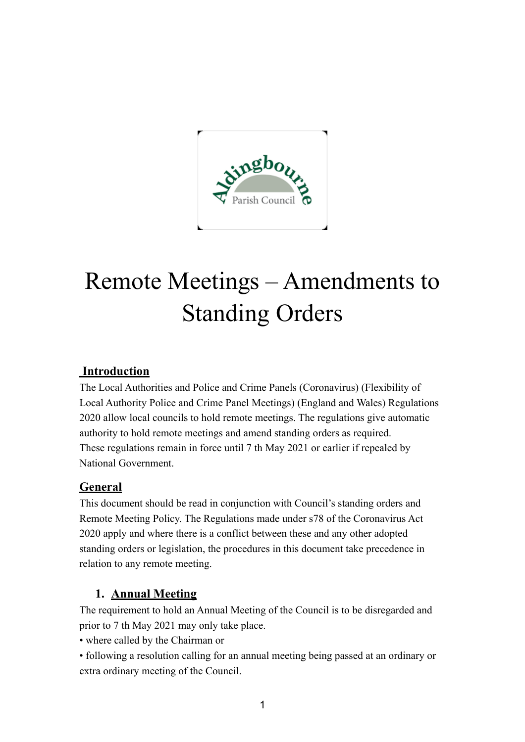

# Remote Meetings – Amendments to Standing Orders

# **Introduction**

The Local Authorities and Police and Crime Panels (Coronavirus) (Flexibility of Local Authority Police and Crime Panel Meetings) (England and Wales) Regulations 2020 allow local councils to hold remote meetings. The regulations give automatic authority to hold remote meetings and amend standing orders as required. These regulations remain in force until 7 th May 2021 or earlier if repealed by National Government.

## **General**

This document should be read in conjunction with Council's standing orders and Remote Meeting Policy. The Regulations made under s78 of the Coronavirus Act 2020 apply and where there is a conflict between these and any other adopted standing orders or legislation, the procedures in this document take precedence in relation to any remote meeting.

# **1. Annual Meeting**

The requirement to hold an Annual Meeting of the Council is to be disregarded and prior to 7 th May 2021 may only take place.

• where called by the Chairman or

• following a resolution calling for an annual meeting being passed at an ordinary or extra ordinary meeting of the Council.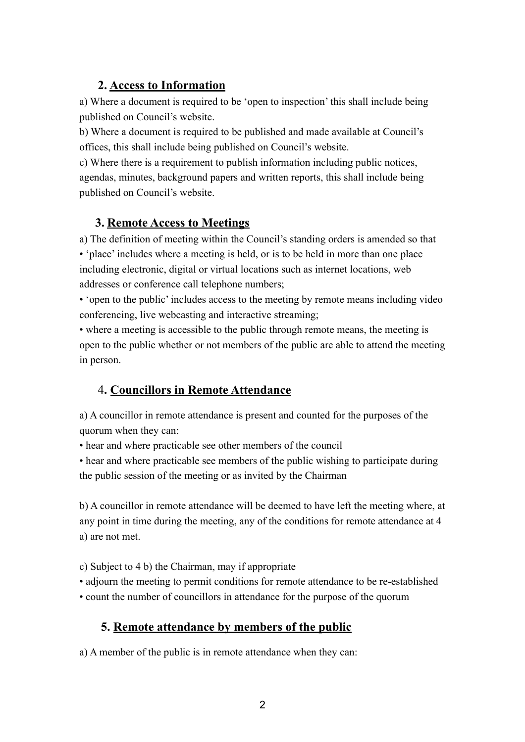#### **2. Access to Information**

a) Where a document is required to be 'open to inspection' this shall include being published on Council's website.

b) Where a document is required to be published and made available at Council's offices, this shall include being published on Council's website.

c) Where there is a requirement to publish information including public notices, agendas, minutes, background papers and written reports, this shall include being published on Council's website.

# **3. Remote Access to Meetings**

a) The definition of meeting within the Council's standing orders is amended so that • 'place' includes where a meeting is held, or is to be held in more than one place including electronic, digital or virtual locations such as internet locations, web addresses or conference call telephone numbers;

• 'open to the public' includes access to the meeting by remote means including video conferencing, live webcasting and interactive streaming;

• where a meeting is accessible to the public through remote means, the meeting is open to the public whether or not members of the public are able to attend the meeting in person.

# 4**. Councillors in Remote Attendance**

a) A councillor in remote attendance is present and counted for the purposes of the quorum when they can:

• hear and where practicable see other members of the council

• hear and where practicable see members of the public wishing to participate during the public session of the meeting or as invited by the Chairman

b) A councillor in remote attendance will be deemed to have left the meeting where, at any point in time during the meeting, any of the conditions for remote attendance at 4 a) are not met.

c) Subject to 4 b) the Chairman, may if appropriate

• adjourn the meeting to permit conditions for remote attendance to be re-established

• count the number of councillors in attendance for the purpose of the quorum

## **5. Remote attendance by members of the public**

a) A member of the public is in remote attendance when they can: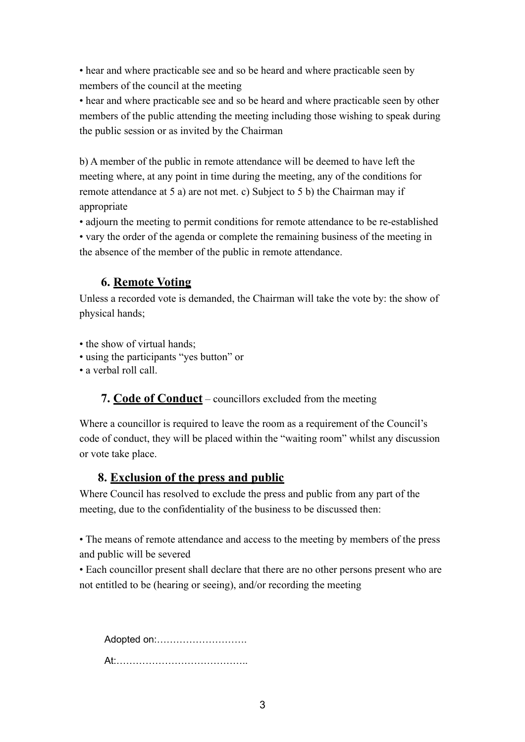• hear and where practicable see and so be heard and where practicable seen by members of the council at the meeting

• hear and where practicable see and so be heard and where practicable seen by other members of the public attending the meeting including those wishing to speak during the public session or as invited by the Chairman

b) A member of the public in remote attendance will be deemed to have left the meeting where, at any point in time during the meeting, any of the conditions for remote attendance at 5 a) are not met. c) Subject to 5 b) the Chairman may if appropriate

• adjourn the meeting to permit conditions for remote attendance to be re-established • vary the order of the agenda or complete the remaining business of the meeting in the absence of the member of the public in remote attendance.

## **6. Remote Voting**

Unless a recorded vote is demanded, the Chairman will take the vote by: the show of physical hands;

• the show of virtual hands;

• using the participants "yes button" or

• a verbal roll call.

 **7. Code of Conduct** – councillors excluded from the meeting

Where a councillor is required to leave the room as a requirement of the Council's code of conduct, they will be placed within the "waiting room" whilst any discussion or vote take place.

## **8. Exclusion of the press and public**

Where Council has resolved to exclude the press and public from any part of the meeting, due to the confidentiality of the business to be discussed then:

• The means of remote attendance and access to the meeting by members of the press and public will be severed

• Each councillor present shall declare that there are no other persons present who are not entitled to be (hearing or seeing), and/or recording the meeting

Adopted on:………………………. At:…………………………………..